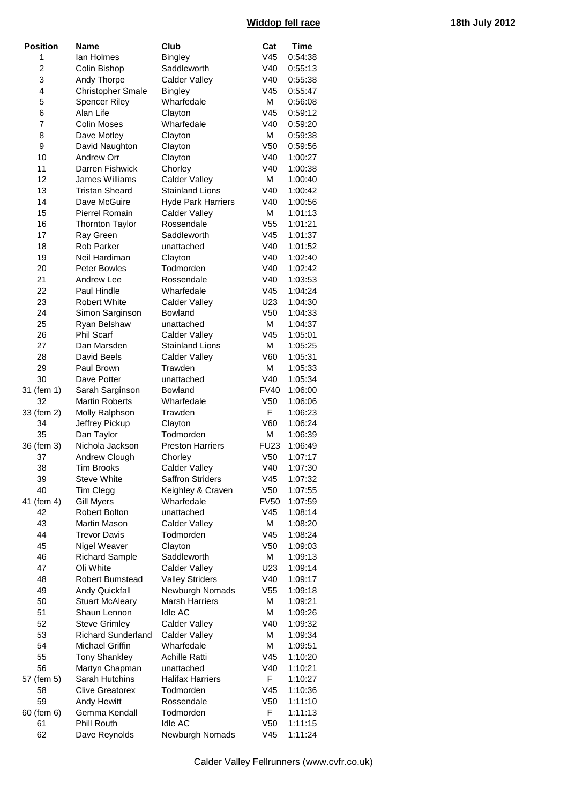## **Widdop fell race 18th July 2012**

| <b>Position</b> | Name                      | Club                                     | Cat             | Time    |
|-----------------|---------------------------|------------------------------------------|-----------------|---------|
| 1               | lan Holmes                | <b>Bingley</b>                           | V45             | 0:54:38 |
| 2               | Colin Bishop              | Saddleworth                              | V40             | 0:55:13 |
| 3               | Andy Thorpe               | <b>Calder Valley</b>                     | V40             | 0:55:38 |
| 4               | <b>Christopher Smale</b>  | <b>Bingley</b>                           | V45             | 0:55:47 |
| 5               | <b>Spencer Riley</b>      | Wharfedale                               | М               | 0:56:08 |
| 6               | Alan Life                 | Clayton                                  | V45             | 0:59:12 |
| 7               | <b>Colin Moses</b>        | Wharfedale                               | V40             | 0:59:20 |
| 8               | Dave Motley               | Clayton                                  | М               | 0:59:38 |
| 9               | David Naughton            | Clayton                                  | V <sub>50</sub> | 0:59:56 |
| 10              | Andrew Orr                | Clayton                                  | V40             | 1:00:27 |
| 11              | Darren Fishwick           | Chorley                                  | V40             | 1:00:38 |
| 12              | James Williams            | <b>Calder Valley</b>                     | М               | 1:00:40 |
| 13              | <b>Tristan Sheard</b>     | <b>Stainland Lions</b>                   | V40             | 1:00:42 |
| 14              | Dave McGuire              | <b>Hyde Park Harriers</b>                | V40             | 1:00:56 |
| 15              | Pierrel Romain            | <b>Calder Valley</b>                     | М               | 1:01:13 |
|                 |                           | Rossendale                               | V <sub>55</sub> |         |
| 16              | <b>Thornton Taylor</b>    |                                          |                 | 1:01:21 |
| 17              | Ray Green                 | Saddleworth                              | V45             | 1:01:37 |
| 18              | <b>Rob Parker</b>         | unattached                               | V40             | 1:01:52 |
| 19              | Neil Hardiman             | Clayton                                  | V40             | 1:02:40 |
| 20              | Peter Bowles              | Todmorden                                | V40             | 1:02:42 |
| 21              | Andrew Lee                | Rossendale                               | V40             | 1:03:53 |
| 22              | Paul Hindle               | Wharfedale                               | V45             | 1:04:24 |
| 23              | <b>Robert White</b>       | <b>Calder Valley</b>                     | U23             | 1:04:30 |
| 24              | Simon Sarginson           | Bowland                                  | V <sub>50</sub> | 1:04:33 |
| 25              | Ryan Belshaw              | unattached                               | М               | 1:04:37 |
| 26              | <b>Phil Scarf</b>         | <b>Calder Valley</b>                     | V45             | 1:05:01 |
| 27              | Dan Marsden               | <b>Stainland Lions</b>                   | М               | 1:05:25 |
| 28              | David Beels               | <b>Calder Valley</b>                     | V60             | 1:05:31 |
| 29              | Paul Brown                | Trawden                                  | М               | 1:05:33 |
| 30              | Dave Potter               | unattached                               | V40             | 1:05:34 |
| 31 (fem 1)      | Sarah Sarginson           | <b>Bowland</b>                           | <b>FV40</b>     | 1:06:00 |
| 32              | <b>Martin Roberts</b>     | Wharfedale                               | V <sub>50</sub> | 1:06:06 |
| 33 (fem 2)      | Molly Ralphson            | Trawden                                  | F               | 1:06:23 |
| 34              | Jeffrey Pickup            | Clayton                                  | V60             | 1:06:24 |
| 35              | Dan Taylor                | Todmorden                                | М               | 1:06:39 |
| 36 (fem 3)      | Nichola Jackson           | <b>Preston Harriers</b>                  | <b>FU23</b>     | 1:06:49 |
| 37              | Andrew Clough             | Chorley                                  | V <sub>50</sub> | 1:07:17 |
| 38              | <b>Tim Brooks</b>         | Calder Valley                            | V40             | 1:07:30 |
| 39              | <b>Steve White</b>        | <b>Saffron Striders</b>                  | V <sub>45</sub> | 1:07:32 |
| 40              | Tim Clegg                 | Keighley & Craven                        | V <sub>50</sub> | 1:07:55 |
| 41 (fem 4)      | <b>Gill Myers</b>         | Wharfedale                               | <b>FV50</b>     | 1:07:59 |
| 42              | Robert Bolton             | unattached                               | V <sub>45</sub> | 1:08:14 |
| 43              | Martin Mason              | <b>Calder Valley</b>                     | М               | 1:08:20 |
| 44              | Trevor Davis              | Todmorden                                | V <sub>45</sub> | 1:08:24 |
| 45              | Nigel Weaver              | Clayton                                  | V <sub>50</sub> | 1:09:03 |
| 46              | <b>Richard Sample</b>     | Saddleworth                              | М               | 1:09:13 |
| 47              | Oli White                 | <b>Calder Valley</b>                     | U23             | 1:09:14 |
| 48              | <b>Robert Bumstead</b>    | <b>Valley Striders</b>                   | V40             |         |
|                 |                           |                                          |                 | 1:09:17 |
| 49              | Andy Quickfall            | Newburgh Nomads<br><b>Marsh Harriers</b> | V <sub>55</sub> | 1:09:18 |
| 50              | <b>Stuart McAleary</b>    |                                          | М               | 1:09:21 |
| 51              | Shaun Lennon              | Idle AC                                  | м               | 1:09:26 |
| 52              | <b>Steve Grimley</b>      | <b>Calder Valley</b>                     | V40             | 1:09:32 |
| 53              | <b>Richard Sunderland</b> | <b>Calder Valley</b>                     | М               | 1:09:34 |
| 54              | Michael Griffin           | Wharfedale                               | М               | 1:09:51 |
| 55              | <b>Tony Shankley</b>      | <b>Achille Ratti</b>                     | V <sub>45</sub> | 1:10:20 |
| 56              | Martyn Chapman            | unattached                               | V40             | 1:10:21 |
| 57 (fem 5)      | Sarah Hutchins            | <b>Halifax Harriers</b>                  | F               | 1:10:27 |
| 58              | <b>Clive Greatorex</b>    | Todmorden                                | V <sub>45</sub> | 1:10:36 |
| 59              | Andy Hewitt               | Rossendale                               | V <sub>50</sub> | 1:11:10 |
| 60 (fem 6)      | Gemma Kendall             | Todmorden                                | F               | 1:11:13 |
| 61              | Phill Routh               | Idle AC                                  | V <sub>50</sub> | 1:11:15 |
| 62              | Dave Reynolds             | Newburgh Nomads                          | V45             | 1:11:24 |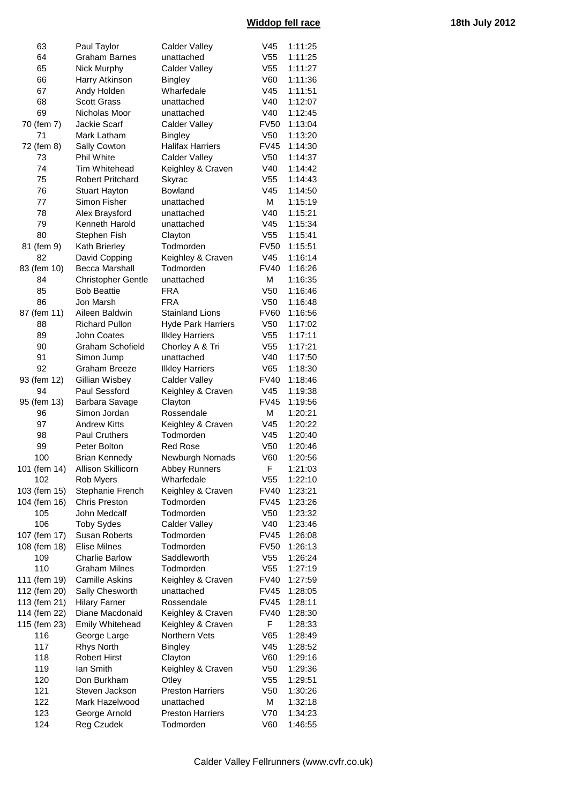| 63           | Paul Taylor             | Calder Valley                  | V45                            | 1:11:25            |
|--------------|-------------------------|--------------------------------|--------------------------------|--------------------|
| 64           | <b>Graham Barnes</b>    | unattached                     | V <sub>55</sub>                | 1:11:25            |
| 65           | Nick Murphy             | <b>Calder Valley</b>           | V <sub>55</sub>                | 1:11:27            |
| 66           | Harry Atkinson          | <b>Bingley</b>                 | V60                            | 1:11:36            |
| 67           | Andy Holden             | Wharfedale                     | V <sub>45</sub>                | 1:11:51            |
| 68           | <b>Scott Grass</b>      | unattached                     | V40                            | 1:12:07            |
| 69           | Nicholas Moor           | unattached                     | V40                            | 1:12:45            |
| 70 (fem 7)   | Jackie Scarf            | <b>Calder Valley</b>           | <b>FV50</b>                    | 1:13:04            |
| 71           | Mark Latham             | <b>Bingley</b>                 | V <sub>50</sub>                | 1:13:20            |
| 72 (fem 8)   | Sally Cowton            | <b>Halifax Harriers</b>        | <b>FV45</b>                    | 1:14:30            |
| 73           | Phil White              | <b>Calder Valley</b>           | V <sub>50</sub>                | 1:14:37            |
| 74           | Tim Whitehead           | Keighley & Craven              | V40                            | 1:14:42            |
| 75           | <b>Robert Pritchard</b> | Skyrac                         | V <sub>55</sub>                | 1:14:43            |
| 76           | <b>Stuart Hayton</b>    | Bowland                        | V45                            | 1:14:50            |
| 77           | Simon Fisher            | unattached                     | М                              | 1:15:19            |
| 78           | Alex Braysford          | unattached                     | V40                            | 1:15:21            |
| 79           | Kenneth Harold          | unattached                     | V45                            | 1:15:34            |
| 80           | Stephen Fish            | Clayton                        | V <sub>55</sub>                | 1:15:41            |
| 81 (fem 9)   | Kath Brierley           | Todmorden                      | <b>FV50</b>                    | 1:15:51            |
| 82           | David Copping           | Keighley & Craven              | V45                            | 1:16:14            |
| 83 (fem 10)  | <b>Becca Marshall</b>   | Todmorden                      | <b>FV40</b>                    | 1:16:26            |
| 84           | Christopher Gentle      | unattached                     | М                              | 1:16:35            |
| 85           | <b>Bob Beattie</b>      | <b>FRA</b>                     | V <sub>50</sub>                | 1:16:46            |
| 86           | Jon Marsh               | <b>FRA</b>                     | V <sub>50</sub>                | 1:16:48            |
| 87 (fem 11)  | Aileen Baldwin          | <b>Stainland Lions</b>         | <b>FV60</b>                    | 1:16:56            |
| 88           | <b>Richard Pullon</b>   | <b>Hyde Park Harriers</b>      | V <sub>50</sub>                | 1:17:02            |
| 89           | <b>John Coates</b>      | <b>Ilkley Harriers</b>         | V <sub>55</sub>                | 1:17:11            |
| 90           | Graham Schofield        | Chorley A & Tri                | V <sub>55</sub>                | 1:17:21            |
| 91           | Simon Jump              | unattached                     | V40                            | 1:17:50            |
| 92           | <b>Graham Breeze</b>    | <b>Ilkley Harriers</b>         | V65                            | 1:18:30            |
| 93 (fem 12)  | Gillian Wisbey          | <b>Calder Valley</b>           | <b>FV40</b>                    | 1:18:46            |
| 94           | Paul Sessford           | Keighley & Craven              | V45                            | 1:19:38            |
| 95 (fem 13)  | Barbara Savage          | Clayton                        | <b>FV45</b>                    | 1:19:56            |
| 96           | Simon Jordan            | Rossendale                     | М                              |                    |
| 97           | <b>Andrew Kitts</b>     |                                | V <sub>45</sub>                | 1:20:21            |
| 98           | Paul Cruthers           | Keighley & Craven<br>Todmorden | V45                            | 1:20:22<br>1:20:40 |
| 99           | Peter Bolton            | <b>Red Rose</b>                | V <sub>50</sub>                | 1:20:46            |
| 100          | <b>Brian Kennedy</b>    | Newburgh Nomads                | V60                            | 1:20:56            |
|              |                         |                                | F                              |                    |
| 101 (fem 14) | Allison Skillicorn      | Abbey Runners                  |                                | 1:21:03            |
| 102          | Rob Myers               | Wharfedale                     | V <sub>55</sub><br><b>FV40</b> | 1:22:10            |
| 103 (fem 15) | Stephanie French        | Keighley & Craven              |                                | 1:23:21            |
| 104 (fem 16) | <b>Chris Preston</b>    | Todmorden                      | FV45                           | 1:23:26            |
| 105          | John Medcalf            | Todmorden                      | V50                            | 1:23:32            |
| 106          | <b>Toby Sydes</b>       | <b>Calder Valley</b>           | V40                            | 1:23:46            |
| 107 (fem 17) | <b>Susan Roberts</b>    | Todmorden                      | <b>FV45</b>                    | 1:26:08            |
| 108 (fem 18) | <b>Elise Milnes</b>     | Todmorden                      | <b>FV50</b>                    | 1:26:13            |
| 109          | <b>Charlie Barlow</b>   | Saddleworth                    | V <sub>55</sub>                | 1:26:24            |
| 110          | <b>Graham Milnes</b>    | Todmorden                      | V55                            | 1:27:19            |
| 111 (fem 19) | <b>Camille Askins</b>   | Keighley & Craven              | <b>FV40</b>                    | 1:27:59            |
| 112 (fem 20) | Sally Chesworth         | unattached                     | <b>FV45</b>                    | 1:28:05            |
| 113 (fem 21) | <b>Hilary Farner</b>    | Rossendale                     | <b>FV45</b>                    | 1:28:11            |
| 114 (fem 22) | Diane Macdonald         | Keighley & Craven              | <b>FV40</b>                    | 1:28:30            |
| 115 (fem 23) | Emily Whitehead         | Keighley & Craven              | F                              | 1:28:33            |
| 116          | George Large            | Northern Vets                  | V65                            | 1:28:49            |
| 117          | <b>Rhys North</b>       | <b>Bingley</b>                 | V <sub>45</sub>                | 1:28:52            |
| 118          | <b>Robert Hirst</b>     | Clayton                        | V60                            | 1:29:16            |
| 119          | lan Smith               | Keighley & Craven              | V <sub>50</sub>                | 1:29:36            |
| 120          | Don Burkham             | Otley                          | V <sub>55</sub>                | 1:29:51            |
| 121          | Steven Jackson          | <b>Preston Harriers</b>        | V <sub>50</sub>                | 1:30:26            |
| 122          | Mark Hazelwood          | unattached                     | М                              | 1:32:18            |
| 123          | George Arnold           | <b>Preston Harriers</b>        | V70                            | 1:34:23            |
| 124          | Reg Czudek              | Todmorden                      | V60                            | 1:46:55            |